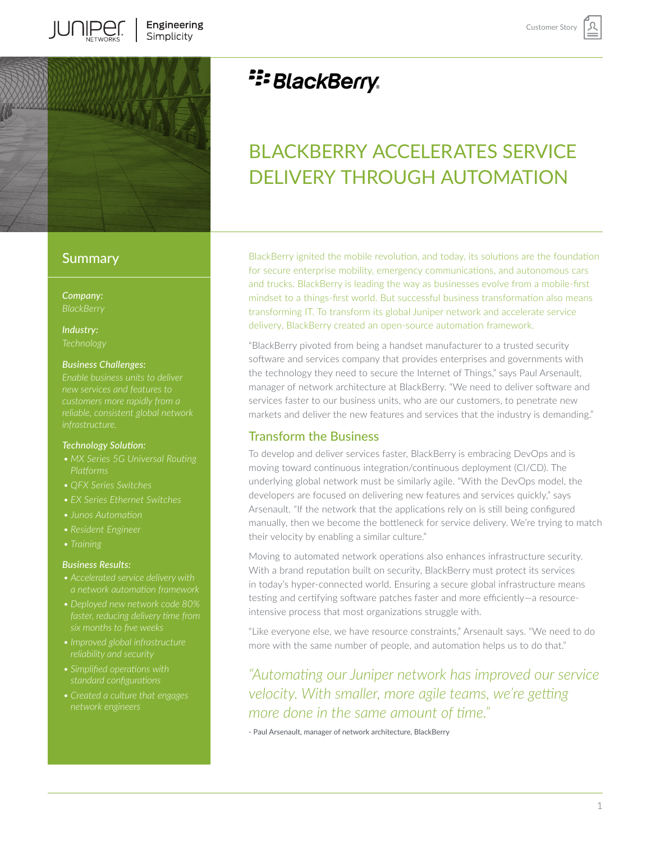

### **Summary**

*Company:*

*Industry:*

#### *Business Challenges:*

*new services and features to* 

#### *Technology Solution:*

- *Platforms*
- *• QFX Series Switches*
- *• EX Series Ethernet Switches*
- 
- 
- 

#### *Business Results:*

- *• Accelerated service delivery with*
- *• Deployed new network code 80%*
- *• Improved global infrastructure*
- *• Simplified operations with*
- *• Created a culture that engages*

# **E: BlackBerry**

# BLACKBERRY ACCELERATES SERVICE DELIVERY THROUGH AUTOMATION

BlackBerry ignited the mobile revolution, and today, its solutions are the foundation for secure enterprise mobility, emergency communications, and autonomous cars and trucks. BlackBerry is leading the way as businesses evolve from a mobile-first mindset to a things-first world. But successful business transformation also means transforming IT. To transform its global Juniper network and accelerate service delivery, BlackBerry created an open-source automation framework.

"BlackBerry pivoted from being a handset manufacturer to a trusted security software and services company that provides enterprises and governments with the technology they need to secure the Internet of Things," says Paul Arsenault, manager of network architecture at BlackBerry. "We need to deliver software and services faster to our business units, who are our customers, to penetrate new markets and deliver the new features and services that the industry is demanding."

#### Transform the Business

To develop and deliver services faster, BlackBerry is embracing DevOps and is moving toward continuous integration/continuous deployment (CI/CD). The underlying global network must be similarly agile. "With the DevOps model, the developers are focused on delivering new features and services quickly," says Arsenault. "If the network that the applications rely on is still being configured manually, then we become the bottleneck for service delivery. We're trying to match their velocity by enabling a similar culture."

Moving to automated network operations also enhances infrastructure security. With a brand reputation built on security, BlackBerry must protect its services in today's hyper-connected world. Ensuring a secure global infrastructure means testing and certifying software patches faster and more efficiently—a resourceintensive process that most organizations struggle with.

"Like everyone else, we have resource constraints," Arsenault says. "We need to do more with the same number of people, and automation helps us to do that."

*"Automating our Juniper network has improved our service velocity. With smaller, more agile teams, we're getting more done in the same amount of time."* 

- Paul Arsenault, manager of network architecture, BlackBerry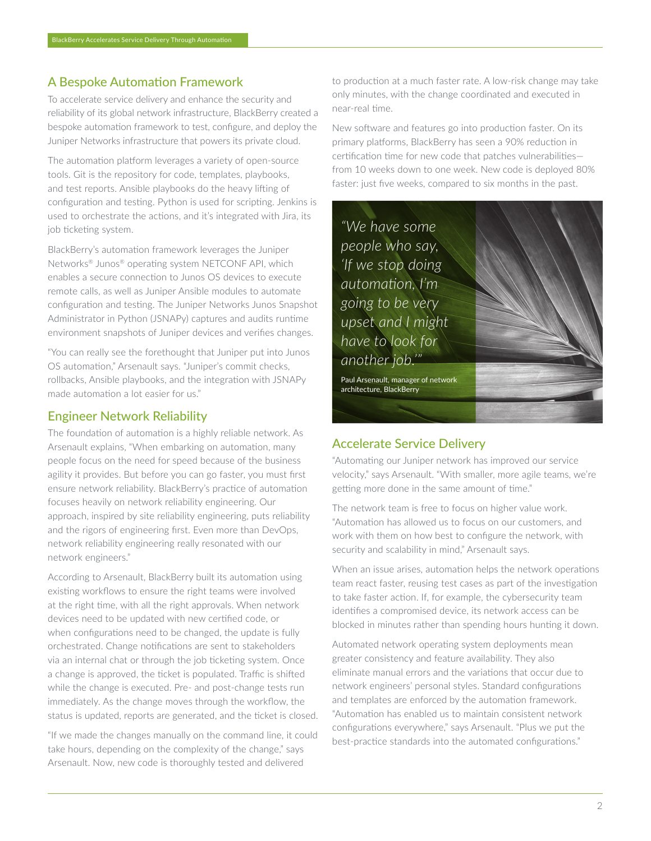## A Bespoke Automation Framework

To accelerate service delivery and enhance the security and reliability of its global network infrastructure, BlackBerry created a bespoke automation framework to test, configure, and deploy the Juniper Networks infrastructure that powers its private cloud.

The automation platform leverages a variety of open-source tools. Git is the repository for code, templates, playbooks, and test reports. Ansible playbooks do the heavy lifting of configuration and testing. Python is used for scripting. Jenkins is used to orchestrate the actions, and it's integrated with Jira, its job ticketing system.

BlackBerry's automation framework leverages the Juniper Networks® Junos® operating system NETCONF API, which enables a secure connection to Junos OS devices to execute remote calls, as well as Juniper Ansible modules to automate configuration and testing. The Juniper Networks Junos Snapshot Administrator in Python (JSNAPy) captures and audits runtime environment snapshots of Juniper devices and verifies changes.

"You can really see the forethought that Juniper put into Junos OS automation," Arsenault says. "Juniper's commit checks, rollbacks, Ansible playbooks, and the integration with JSNAPy made automation a lot easier for us."

### Engineer Network Reliability

The foundation of automation is a highly reliable network. As Arsenault explains, "When embarking on automation, many people focus on the need for speed because of the business agility it provides. But before you can go faster, you must first ensure network reliability. BlackBerry's practice of automation focuses heavily on network reliability engineering. Our approach, inspired by site reliability engineering, puts reliability and the rigors of engineering first. Even more than DevOps, network reliability engineering really resonated with our network engineers."

According to Arsenault, BlackBerry built its automation using existing workflows to ensure the right teams were involved at the right time, with all the right approvals. When network devices need to be updated with new certified code, or when configurations need to be changed, the update is fully orchestrated. Change notifications are sent to stakeholders via an internal chat or through the job ticketing system. Once a change is approved, the ticket is populated. Traffic is shifted while the change is executed. Pre- and post-change tests run immediately. As the change moves through the workflow, the status is updated, reports are generated, and the ticket is closed.

"If we made the changes manually on the command line, it could take hours, depending on the complexity of the change," says Arsenault. Now, new code is thoroughly tested and delivered

to production at a much faster rate. A low-risk change may take only minutes, with the change coordinated and executed in near-real time.

New software and features go into production faster. On its primary platforms, BlackBerry has seen a 90% reduction in certification time for new code that patches vulnerabilities from 10 weeks down to one week. New code is deployed 80% faster: just five weeks, compared to six months in the past.



## Accelerate Service Delivery

"Automating our Juniper network has improved our service velocity," says Arsenault. "With smaller, more agile teams, we're getting more done in the same amount of time."

The network team is free to focus on higher value work. "Automation has allowed us to focus on our customers, and work with them on how best to configure the network, with security and scalability in mind," Arsenault says.

When an issue arises, automation helps the network operations team react faster, reusing test cases as part of the investigation to take faster action. If, for example, the cybersecurity team identifies a compromised device, its network access can be blocked in minutes rather than spending hours hunting it down.

Automated network operating system deployments mean greater consistency and feature availability. They also eliminate manual errors and the variations that occur due to network engineers' personal styles. Standard configurations and templates are enforced by the automation framework. "Automation has enabled us to maintain consistent network configurations everywhere," says Arsenault. "Plus we put the best-practice standards into the automated configurations."